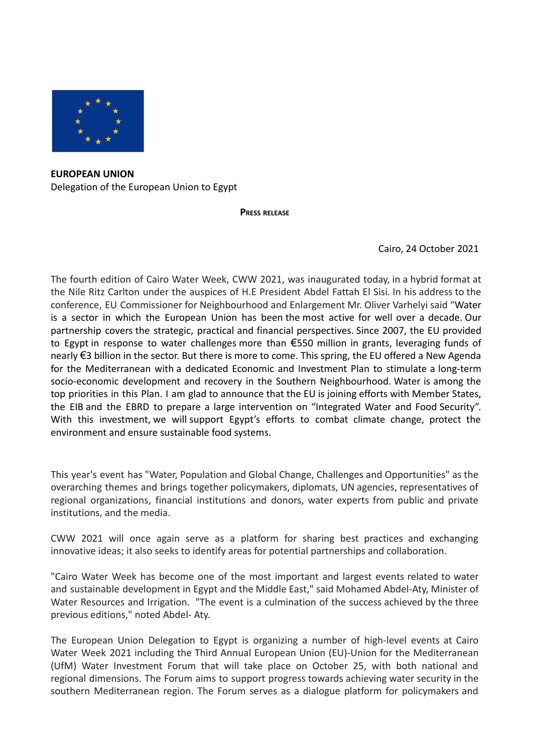

**EUROPEAN UNION** Delegation of the European Union to Egypt

**PRESS RELEASE**

Cairo, 24 October 2021

The fourth edition of Cairo Water Week, CWW 2021, was inaugurated today, in a hybrid format at the Nile Ritz Carlton under the auspices of H.E President Abdel Fattah El Sisi. In his address to the conference, EU Commissioner for Neighbourhood and Enlargement Mr. Oliver Varhelyi said "Water is a sector in which the European Union has been the most active for well over a decade. Our partnership covers the strategic, practical and financial perspectives. Since 2007, the EU provided to Egypt in response to water challenges more than €550 million in grants, leveraging funds of nearly €3 billion in the sector. But there is more to come. This spring, the EU offered a New Agenda for the Mediterranean with a dedicated Economic and Investment Plan to stimulate a long-term socio-economic development and recovery in the Southern Neighbourhood. Water is among the top priorities in this Plan. I am glad to announce that the EU is joining efforts with Member States, the EIB and the EBRD to prepare a large intervention on "Integrated Water and Food Security". With this investment, we will support Egypt's efforts to combat climate change, protect the environment and ensure sustainable food systems.

This year's event has "Water, Population and Global Change, Challenges and Opportunities" as the overarching themes and brings together policymakers, diplomats, UN agencies, representatives of regional organizations, financial institutions and donors, water experts from public and private institutions, and the media.

CWW 2021 will once again serve as a platform for sharing best practices and exchanging innovative ideas; it also seeks to identify areas for potential partnerships and collaboration.

"Cairo Water Week has become one of the most important and largest events related to water and sustainable development in Egypt and the Middle East," said Mohamed Abdel-Aty, Minister of Water Resources and Irrigation. "The event is a culmination of the success achieved by the three previous editions," noted Abdel- Aty.

The European Union Delegation to Egypt is organizing a number of high-level events at Cairo Water Week 2021 including the Third Annual European Union (EU)-Union for the Mediterranean (UfM) Water Investment Forum that will take place on October 25, with both national and regional dimensions. The Forum aims to support progress towards achieving water security in the southern Mediterranean region. The Forum serves as a dialogue platform for policymakers and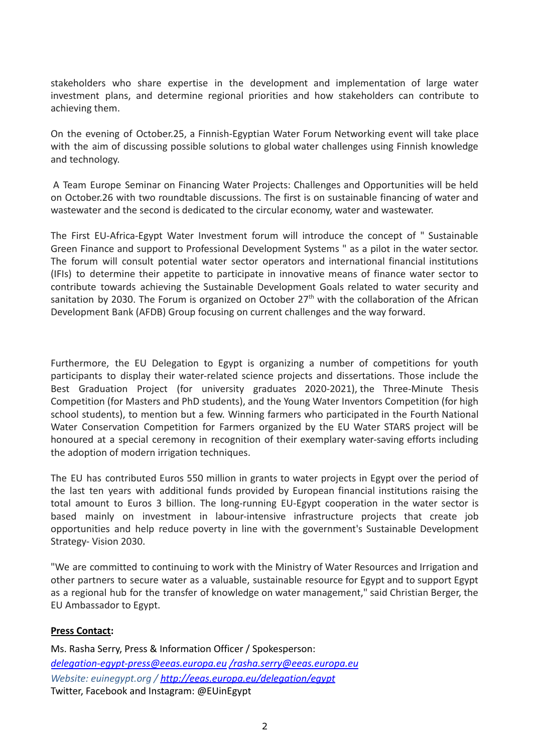stakeholders who share expertise in the development and implementation of large water investment plans, and determine regional priorities and how stakeholders can contribute to achieving them.

On the evening of October.25, a Finnish-Egyptian Water Forum Networking event will take place with the aim of discussing possible solutions to global water challenges using Finnish knowledge and technology.

A Team Europe Seminar on Financing Water Projects: Challenges and Opportunities will be held on October.26 with two roundtable discussions. The first is on sustainable financing of water and wastewater and the second is dedicated to the circular economy, water and wastewater.

The First EU-Africa-Egypt Water Investment forum will introduce the concept of " Sustainable Green Finance and support to Professional Development Systems " as a pilot in the water sector. The forum will consult potential water sector operators and international financial institutions (IFIs) to determine their appetite to participate in innovative means of finance water sector to contribute towards achieving the Sustainable Development Goals related to water security and sanitation by 2030. The Forum is organized on October  $27<sup>th</sup>$  with the collaboration of the African Development Bank (AFDB) Group focusing on current challenges and the way forward.

Furthermore, the EU Delegation to Egypt is organizing a number of competitions for youth participants to display their water-related science projects and dissertations. Those include the Best Graduation Project (for university graduates 2020-2021), the Three-Minute Thesis Competition (for Masters and PhD students), and the Young Water Inventors Competition (for high school students), to mention but a few. Winning farmers who participated in the Fourth National Water Conservation Competition for Farmers organized by the EU Water STARS project will be honoured at a special ceremony in recognition of their exemplary water-saving efforts including the adoption of modern irrigation techniques.

The EU has contributed Euros 550 million in grants to water projects in Egypt over the period of the last ten years with additional funds provided by European financial institutions raising the total amount to Euros 3 billion. The long-running EU-Egypt cooperation in the water sector is based mainly on investment in labour-intensive infrastructure projects that create job opportunities and help reduce poverty in line with the government's Sustainable Development Strategy- Vision 2030.

"We are committed to continuing to work with the Ministry of Water Resources and Irrigation and other partners to secure water as a valuable, sustainable resource for Egypt and to support Egypt as a regional hub for the transfer of knowledge on water management," said Christian Berger, the EU Ambassador to Egypt.

## **Press Contact:**

Ms. Rasha Serry, Press & Information Officer / Spokesperson: *[delegation-egypt-press@eeas.europa.eu](mailto:delegation-egypt-press@eeas.europa.eu) [/rasha.serry@eeas.europa.eu](mailto:/rasha.serry@eeas.europa.eu) Website: euinegypt.org / <http://eeas.europa.eu/delegation/egypt>* Twitter, Facebook and Instagram: @EUinEgypt